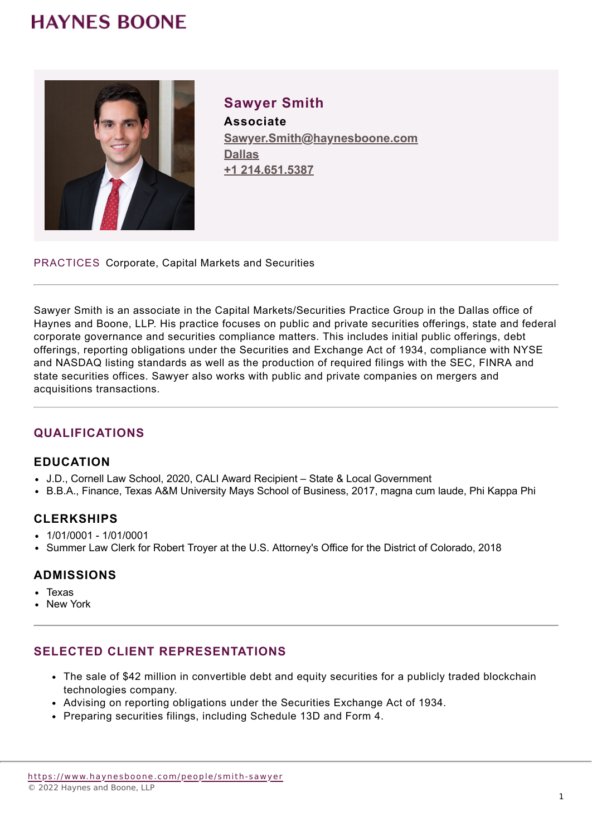## **HAYNES BOONE**



**Sawyer Smith Associate Sawyer.Smith@haynesboone.com [Dallas](https://www.haynesboone.com/locations/dallas) [+1 214.651.5387](tel://+1 214.651.5387)**

PRACTICES Corporate, Capital Markets and Securities

Sawyer Smith is an associate in the Capital Markets/Securities Practice Group in the Dallas office of Haynes and Boone, LLP. His practice focuses on public and private securities offerings, state and federal corporate governance and securities compliance matters. This includes initial public offerings, debt offerings, reporting obligations under the Securities and Exchange Act of 1934, compliance with NYSE and NASDAQ listing standards as well as the production of required filings with the SEC, FINRA and state securities offices. Sawyer also works with public and private companies on mergers and acquisitions transactions.

### **QUALIFICATIONS**

#### **EDUCATION**

- J.D., Cornell Law School, 2020, CALI Award Recipient State & Local Government
- B.B.A., Finance, Texas A&M University Mays School of Business, 2017, magna cum laude, Phi Kappa Phi

### **CLERKSHIPS**

- $-1/01/0001 1/01/0001$
- Summer Law Clerk for Robert Troyer at the U.S. Attorney's Office for the District of Colorado, 2018

### **ADMISSIONS**

- Texas
- New York

### **SELECTED CLIENT REPRESENTATIONS**

- The sale of \$42 million in convertible debt and equity securities for a publicly traded blockchain technologies company.
- Advising on reporting obligations under the Securities Exchange Act of 1934.
- Preparing securities filings, including Schedule 13D and Form 4.